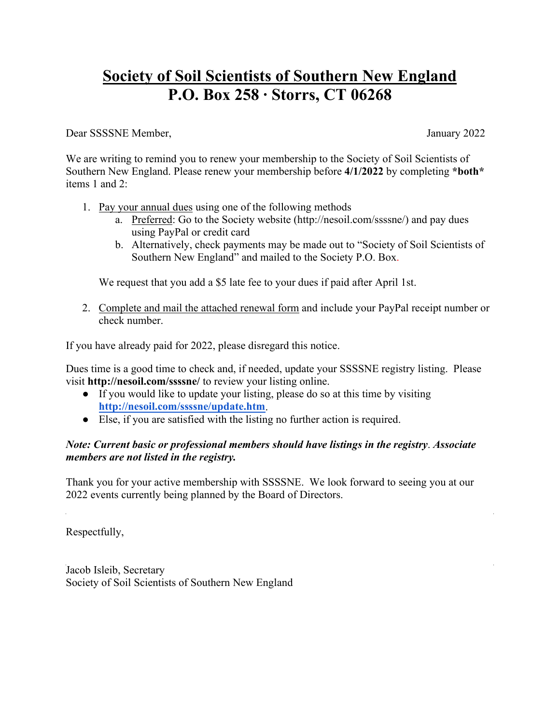## **Society of Soil Scientists of Southern New England P.O. Box 258 ∙ Storrs, CT 06268**

Dear SSSSNE Member, January 2022

We are writing to remind you to renew your membership to the Society of Soil Scientists of Southern New England. Please renew your membership before **4/1/2022** by completing **\*both\*** items 1 and 2:

- 1. Pay your annual dues using one of the following methods
	- a. Preferred: Go to the Society website [\(http://nesoil.com/ssssne/\)](http://nesoil.com/ssssne/) and pay dues using PayPal or credit card
	- b. Alternatively, check payments may be made out to "Society of Soil Scientists of Southern New England" and mailed to the Society P.O. Box.

We request that you add a \$5 late fee to your dues if paid after April 1st.

2. Complete and mail the attached renewal form and include your PayPal receipt number or check number.

If you have already paid for 2022, please disregard this notice.

Dues time is a good time to check and, if needed, update your SSSSNE registry listing. Please visit **http://nesoil.com/ssssne/** to review your listing online.

- If you would like to update your listing, please do so at this time by visiting **<http://nesoil.com/ssssne/update.htm>**.
- Else, if you are satisfied with the listing no further action is required.

## *Note: Current basic or professional members should have listings in the registry*. *Associate members are not listed in the registry.*

Thank you for your active membership with SSSSNE. We look forward to seeing you at our 2022 events currently being planned by the Board of Directors.

Respectfully,

Jacob Isleib, Secretary Society of Soil Scientists of Southern New England